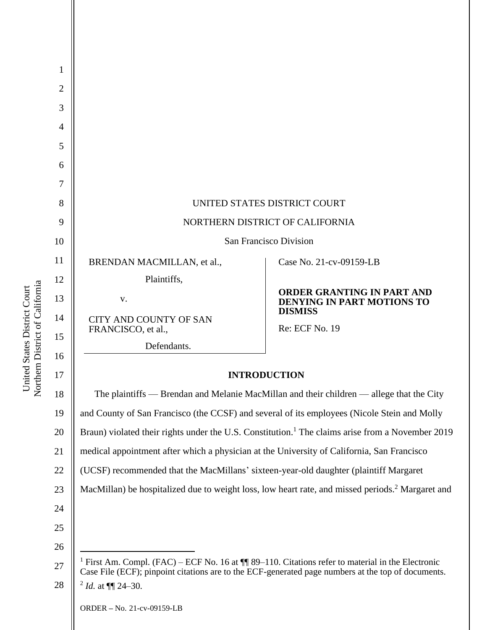| 1<br>$\overline{2}$ |                                                                                                                                                                                                                      |                                                                                                              |  |
|---------------------|----------------------------------------------------------------------------------------------------------------------------------------------------------------------------------------------------------------------|--------------------------------------------------------------------------------------------------------------|--|
| 3                   |                                                                                                                                                                                                                      |                                                                                                              |  |
| 4                   |                                                                                                                                                                                                                      |                                                                                                              |  |
| 5                   |                                                                                                                                                                                                                      |                                                                                                              |  |
| 6                   |                                                                                                                                                                                                                      |                                                                                                              |  |
| 7                   |                                                                                                                                                                                                                      |                                                                                                              |  |
| 8                   | UNITED STATES DISTRICT COURT                                                                                                                                                                                         |                                                                                                              |  |
| 9                   | NORTHERN DISTRICT OF CALIFORNIA                                                                                                                                                                                      |                                                                                                              |  |
| 10                  | San Francisco Division                                                                                                                                                                                               |                                                                                                              |  |
| 11                  | BRENDAN MACMILLAN, et al.,                                                                                                                                                                                           | Case No. 21-cv-09159-LB                                                                                      |  |
| 12                  | Plaintiffs,                                                                                                                                                                                                          |                                                                                                              |  |
| 13                  | V.                                                                                                                                                                                                                   | ORDER GRANTING IN PART AND<br><b>DENYING IN PART MOTIONS TO</b>                                              |  |
| 14                  | <b>CITY AND COUNTY OF SAN</b><br>FRANCISCO, et al.,                                                                                                                                                                  | <b>DISMISS</b><br>Re: ECF No. 19                                                                             |  |
| 15                  | Defendants.                                                                                                                                                                                                          |                                                                                                              |  |
| 16                  |                                                                                                                                                                                                                      |                                                                                                              |  |
| 17                  |                                                                                                                                                                                                                      | <b>INTRODUCTION</b>                                                                                          |  |
| 18                  |                                                                                                                                                                                                                      | The plaintiffs — Brendan and Melanie MacMillan and their children — allege that the City                     |  |
| 19                  | and County of San Francisco (the CCSF) and several of its employees (Nicole Stein and Molly                                                                                                                          |                                                                                                              |  |
| 20                  |                                                                                                                                                                                                                      | Braun) violated their rights under the U.S. Constitution. <sup>1</sup> The claims arise from a November 2019 |  |
| 21                  | medical appointment after which a physician at the University of California, San Francisco                                                                                                                           |                                                                                                              |  |
| 22                  | (UCSF) recommended that the MacMillans' sixteen-year-old daughter (plaintiff Margaret                                                                                                                                |                                                                                                              |  |
| 23                  |                                                                                                                                                                                                                      | MacMillan) be hospitalized due to weight loss, low heart rate, and missed periods. <sup>2</sup> Margaret and |  |
| 24                  |                                                                                                                                                                                                                      |                                                                                                              |  |
| 25                  |                                                                                                                                                                                                                      |                                                                                                              |  |
| 26                  |                                                                                                                                                                                                                      |                                                                                                              |  |
| 27                  | <sup>1</sup> First Am. Compl. (FAC) – ECF No. 16 at $\P$ 89–110. Citations refer to material in the Electronic<br>Case File (ECF); pinpoint citations are to the ECF-generated page numbers at the top of documents. |                                                                                                              |  |
| 28                  | $^{2}$ <i>Id.</i> at $\P\P$ 24–30.                                                                                                                                                                                   |                                                                                                              |  |
|                     | ORDER - No. 21-cv-09159-LB                                                                                                                                                                                           |                                                                                                              |  |
|                     |                                                                                                                                                                                                                      |                                                                                                              |  |

United States District Court<br>Northern District of California Northern District of California United States District Court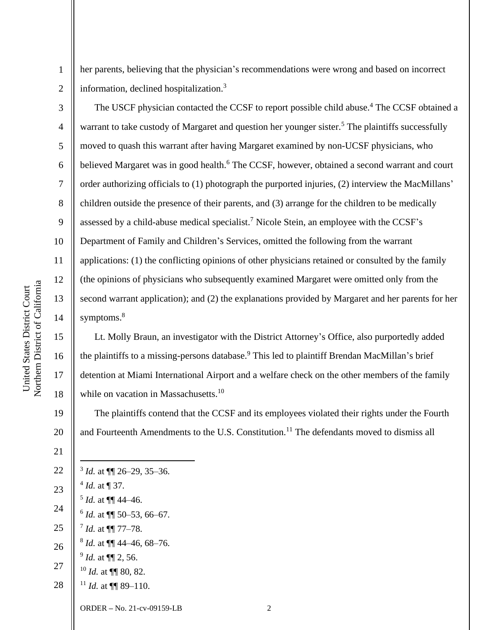4

5

6

7

8

9

10

11

12

13

14

15

16

17

18

21

1

her parents, believing that the physician's recommendations were wrong and based on incorrect information, declined hospitalization.<sup>3</sup>

The USCF physician contacted the CCSF to report possible child abuse.<sup>4</sup> The CCSF obtained a warrant to take custody of Margaret and question her younger sister.<sup>5</sup> The plaintiffs successfully moved to quash this warrant after having Margaret examined by non-UCSF physicians, who believed Margaret was in good health.<sup>6</sup> The CCSF, however, obtained a second warrant and court order authorizing officials to (1) photograph the purported injuries, (2) interview the MacMillans' children outside the presence of their parents, and (3) arrange for the children to be medically assessed by a child-abuse medical specialist.<sup>7</sup> Nicole Stein, an employee with the CCSF's Department of Family and Children's Services, omitted the following from the warrant applications: (1) the conflicting opinions of other physicians retained or consulted by the family (the opinions of physicians who subsequently examined Margaret were omitted only from the second warrant application); and (2) the explanations provided by Margaret and her parents for her symptoms.<sup>8</sup>

Lt. Molly Braun, an investigator with the District Attorney's Office, also purportedly added the plaintiffs to a missing-persons database.<sup>9</sup> This led to plaintiff Brendan MacMillan's brief detention at Miami International Airport and a welfare check on the other members of the family while on vacation in Massachusetts.<sup>10</sup>

19 20 The plaintiffs contend that the CCSF and its employees violated their rights under the Fourth and Fourteenth Amendments to the U.S. Constitution.<sup>11</sup> The defendants moved to dismiss all

22 23 24 25 26 27 28 3 *Id.* at ¶¶ 26–29, 35–36.  $^{4}$  *Id.* at  $\P$  37.  $<sup>5</sup>$  *Id.* at  $\P\P$  44–46.</sup>  $^6$  *Id.* at  $\P\P$  50–53, 66–67. 7 *Id.* at ¶¶ 77–78. 8 *Id.* at ¶¶ 44–46, 68–76. 9 *Id.* at ¶¶ 2, 56. <sup>10</sup> *Id.* at ¶¶ 80, 82. <sup>11</sup> *Id.* at  $\P\P$  89–110.

ORDER **–** No. 21-cv-09159-LB 2

Northern District of California Northern District of California United States District Court United States District Court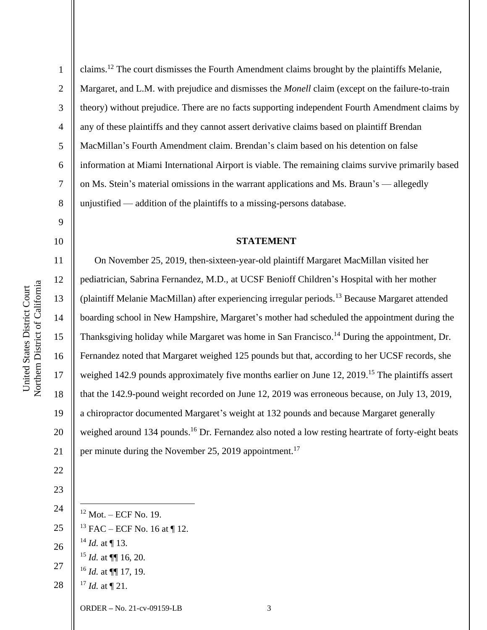2

3

4

5

6

7

8

9

10

11

12

13

14

15

16

17

18

19

20

21

22

claims.<sup>12</sup> The court dismisses the Fourth Amendment claims brought by the plaintiffs Melanie, Margaret, and L.M. with prejudice and dismisses the *Monell* claim (except on the failure-to-train theory) without prejudice. There are no facts supporting independent Fourth Amendment claims by any of these plaintiffs and they cannot assert derivative claims based on plaintiff Brendan MacMillan's Fourth Amendment claim. Brendan's claim based on his detention on false information at Miami International Airport is viable. The remaining claims survive primarily based on Ms. Stein's material omissions in the warrant applications and Ms. Braun's — allegedly unjustified — addition of the plaintiffs to a missing-persons database.

# **STATEMENT**

On November 25, 2019, then-sixteen-year-old plaintiff Margaret MacMillan visited her pediatrician, Sabrina Fernandez, M.D., at UCSF Benioff Children's Hospital with her mother (plaintiff Melanie MacMillan) after experiencing irregular periods.<sup>13</sup> Because Margaret attended boarding school in New Hampshire, Margaret's mother had scheduled the appointment during the Thanksgiving holiday while Margaret was home in San Francisco.<sup>14</sup> During the appointment, Dr. Fernandez noted that Margaret weighed 125 pounds but that, according to her UCSF records, she weighed 142.9 pounds approximately five months earlier on June 12, 2019.<sup>15</sup> The plaintiffs assert that the 142.9-pound weight recorded on June 12, 2019 was erroneous because, on July 13, 2019, a chiropractor documented Margaret's weight at 132 pounds and because Margaret generally weighed around 134 pounds.<sup>16</sup> Dr. Fernandez also noted a low resting heartrate of forty-eight beats per minute during the November 25, 2019 appointment.<sup>17</sup>

23 24

25

26

27

28

 Mot. – ECF No. 19. FAC – ECF No. 16 at ¶ 12.  $^{14}$  *Id.* at ¶ 13. *Id.* at ¶¶ 16, 20. *Id.* at ¶¶ 17, 19. *Id.* at ¶ 21.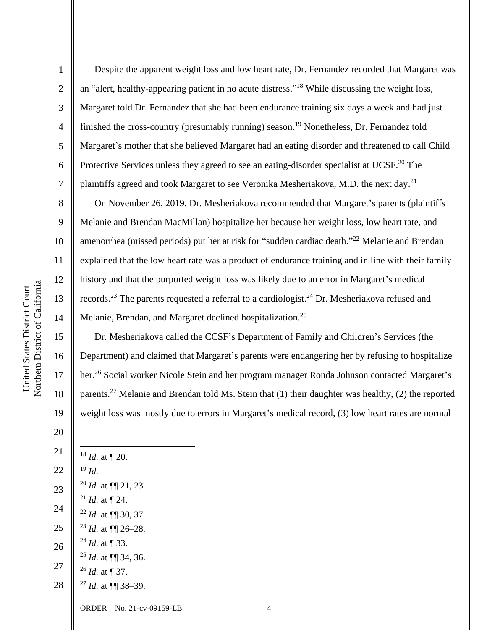Despite the apparent weight loss and low heart rate, Dr. Fernandez recorded that Margaret was an "alert, healthy-appearing patient in no acute distress." <sup>18</sup> While discussing the weight loss, Margaret told Dr. Fernandez that she had been endurance training six days a week and had just finished the cross-country (presumably running) season. <sup>19</sup> Nonetheless, Dr. Fernandez told Margaret's mother that she believed Margaret had an eating disorder and threatened to call Child Protective Services unless they agreed to see an eating-disorder specialist at UCSF.<sup>20</sup> The plaintiffs agreed and took Margaret to see Veronika Mesheriakova, M.D. the next day.<sup>21</sup>

On November 26, 2019, Dr. Mesheriakova recommended that Margaret's parents (plaintiffs Melanie and Brendan MacMillan) hospitalize her because her weight loss, low heart rate, and amenorrhea (missed periods) put her at risk for "sudden cardiac death."<sup>22</sup> Melanie and Brendan explained that the low heart rate was a product of endurance training and in line with their family history and that the purported weight loss was likely due to an error in Margaret's medical records.<sup>23</sup> The parents requested a referral to a cardiologist.<sup>24</sup> Dr. Mesheriakova refused and Melanie, Brendan, and Margaret declined hospitalization.<sup>25</sup>

Dr. Mesheriakova called the CCSF's Department of Family and Children's Services (the Department) and claimed that Margaret's parents were endangering her by refusing to hospitalize her.<sup>26</sup> Social worker Nicole Stein and her program manager Ronda Johnson contacted Margaret's parents.<sup>27</sup> Melanie and Brendan told Ms. Stein that (1) their daughter was healthy, (2) the reported weight loss was mostly due to errors in Margaret's medical record, (3) low heart rates are normal

| 21 | $18$ <i>Id.</i> at $\P$ 20.                                                       |
|----|-----------------------------------------------------------------------------------|
| 22 | $^{19}$ Id.                                                                       |
| 23 | <sup>20</sup> <i>Id.</i> at $\P\P$ 21, 23.                                        |
| 24 | <sup>21</sup> <i>Id.</i> at $\P$ 24.                                              |
| 25 | $^{22}$ <i>Id.</i> at $\P\P$ 30, 37.                                              |
|    | <sup>23</sup> <i>Id.</i> at $\P\P$ 26–28.<br><sup>24</sup> <i>Id.</i> at $\P$ 33. |
| 26 | <sup>25</sup> <i>Id.</i> at $\P\P$ 34, 36.                                        |
| 27 | $^{26}$ <i>Id.</i> at ¶ 37.                                                       |
| 28 | <sup>27</sup> <i>Id.</i> at $\P\P$ 38–39.                                         |
|    |                                                                                   |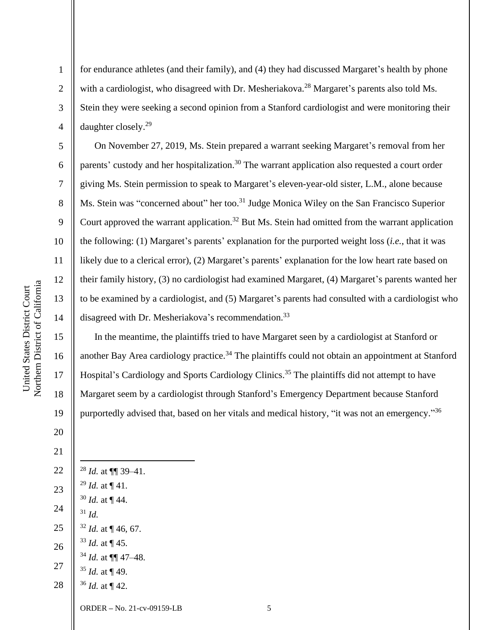for endurance athletes (and their family), and (4) they had discussed Margaret's health by phone with a cardiologist, who disagreed with Dr. Mesheriakova.<sup>28</sup> Margaret's parents also told Ms. Stein they were seeking a second opinion from a Stanford cardiologist and were monitoring their daughter closely. 29

On November 27, 2019, Ms. Stein prepared a warrant seeking Margaret's removal from her parents' custody and her hospitalization.<sup>30</sup> The warrant application also requested a court order giving Ms. Stein permission to speak to Margaret's eleven-year-old sister, L.M., alone because Ms. Stein was "concerned about" her too.<sup>31</sup> Judge Monica Wiley on the San Francisco Superior Court approved the warrant application.<sup>32</sup> But Ms. Stein had omitted from the warrant application the following: (1) Margaret's parents' explanation for the purported weight loss (*i.e.*, that it was likely due to a clerical error), (2) Margaret's parents' explanation for the low heart rate based on their family history, (3) no cardiologist had examined Margaret, (4) Margaret's parents wanted her to be examined by a cardiologist, and (5) Margaret's parents had consulted with a cardiologist who disagreed with Dr. Mesheriakova's recommendation.<sup>33</sup>

 In the meantime, the plaintiffs tried to have Margaret seen by a cardiologist at Stanford or another Bay Area cardiology practice.<sup>34</sup> The plaintiffs could not obtain an appointment at Stanford Hospital's Cardiology and Sports Cardiology Clinics.<sup>35</sup> The plaintiffs did not attempt to have Margaret seem by a cardiologist through Stanford's Emergency Department because Stanford purportedly advised that, based on her vitals and medical history, "it was not an emergency."<sup>36</sup>

 *Id.* at ¶¶ 39–41. *Id.* at ¶ 41. *Id.* at  $\P$  44. *Id. Id.* at ¶ 46, 67. *Id.* at ¶ 45. *Id.* at ¶¶ 47–48. *Id.* at  $\P$  49. *Id.* at ¶ 42.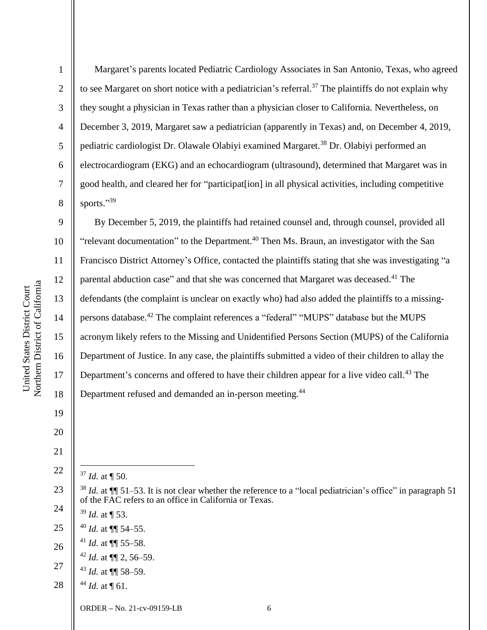2

3

4

5

6

7

8

9

10

11

12

13

14

15

16

17

18

19

20

21

22

Margaret's parents located Pediatric Cardiology Associates in San Antonio, Texas, who agreed to see Margaret on short notice with a pediatrician's referral.<sup>37</sup> The plaintiffs do not explain why they sought a physician in Texas rather than a physician closer to California. Nevertheless, on December 3, 2019, Margaret saw a pediatrician (apparently in Texas) and, on December 4, 2019, pediatric cardiologist Dr. Olawale Olabiyi examined Margaret.<sup>38</sup> Dr. Olabiyi performed an electrocardiogram (EKG) and an echocardiogram (ultrasound), determined that Margaret was in good health, and cleared her for "participat[ion] in all physical activities, including competitive sports."39

By December 5, 2019, the plaintiffs had retained counsel and, through counsel, provided all "relevant documentation" to the Department.<sup>40</sup> Then Ms. Braun, an investigator with the San Francisco District Attorney's Office, contacted the plaintiffs stating that she was investigating "a parental abduction case" and that she was concerned that Margaret was deceased.<sup>41</sup> The defendants (the complaint is unclear on exactly who) had also added the plaintiffs to a missingpersons database.<sup>42</sup> The complaint references a "federal" "MUPS" database but the MUPS acronym likely refers to the Missing and Unidentified Persons Section (MUPS) of the California Department of Justice. In any case, the plaintiffs submitted a video of their children to allay the Department's concerns and offered to have their children appear for a live video call.<sup>43</sup> The Department refused and demanded an in-person meeting.<sup>44</sup>

<sup>37</sup> *Id.* at ¶ 50.

<sup>39</sup> *Id.* at ¶ 53.

- 25 <sup>40</sup> *Id.* at ¶¶ 54–55.
- 26 <sup>41</sup> *Id.* at ¶¶ 55–58.
	- $42$  *Id.* at  $\P\P$  2, 56–59.
- 27 <sup>43</sup> *Id.* at ¶¶ 58–59.
- 28  $44$  *Id.* at  $\P$  61.

<sup>23</sup> 24  $38$  *Id.* at  $\P$  51–53. It is not clear whether the reference to a "local pediatrician's office" in paragraph 51 of the FAC refers to an office in California or Texas.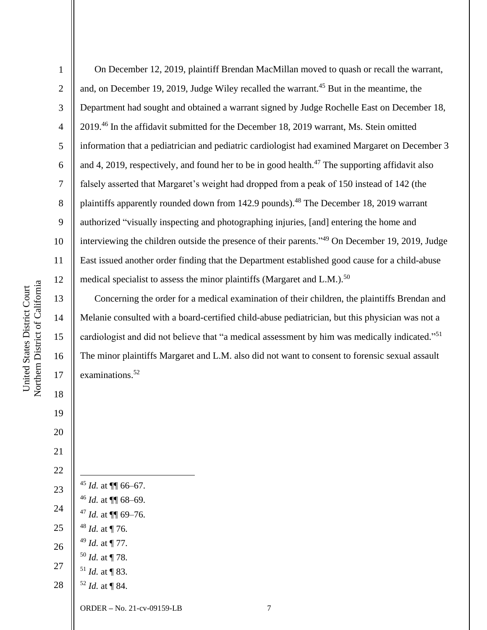On December 12, 2019, plaintiff Brendan MacMillan moved to quash or recall the warrant, and, on December 19, 2019, Judge Wiley recalled the warrant.<sup>45</sup> But in the meantime, the Department had sought and obtained a warrant signed by Judge Rochelle East on December 18, 2019. <sup>46</sup> In the affidavit submitted for the December 18, 2019 warrant, Ms. Stein omitted information that a pediatrician and pediatric cardiologist had examined Margaret on December 3 and 4, 2019, respectively, and found her to be in good health.<sup>47</sup> The supporting affidavit also falsely asserted that Margaret's weight had dropped from a peak of 150 instead of 142 (the plaintiffs apparently rounded down from 142.9 pounds).<sup>48</sup> The December 18, 2019 warrant authorized "visually inspecting and photographing injuries, [and] entering the home and interviewing the children outside the presence of their parents." <sup>49</sup> On December 19, 2019, Judge East issued another order finding that the Department established good cause for a child-abuse medical specialist to assess the minor plaintiffs (Margaret and L.M.).<sup>50</sup>

Concerning the order for a medical examination of their children, the plaintiffs Brendan and Melanie consulted with a board-certified child-abuse pediatrician, but this physician was not a cardiologist and did not believe that "a medical assessment by him was medically indicated."<sup>51</sup> The minor plaintiffs Margaret and L.M. also did not want to consent to forensic sexual assault examinations.<sup>52</sup>

| 20 |                                                                                      |   |
|----|--------------------------------------------------------------------------------------|---|
| 21 |                                                                                      |   |
| 22 |                                                                                      |   |
| 23 | <sup>45</sup> <i>Id.</i> at $\P\P$ 66–67.                                            |   |
| 24 | <sup>46</sup> <i>Id.</i> at $\P\P$ 68–69.<br><sup>47</sup> <i>Id.</i> at $\P$ 69–76. |   |
| 25 | $48$ <i>Id.</i> at $\P$ 76.                                                          |   |
| 26 | $49$ <i>Id.</i> at $\P$ 77.                                                          |   |
| 27 | $50$ <i>Id.</i> at ¶ 78.<br>$51$ <i>Id.</i> at $\P$ 83.                              |   |
| 28 | $52$ <i>Id.</i> at ¶ 84.                                                             |   |
|    | ORDER – No. 21-cv-09159-LB                                                           | 7 |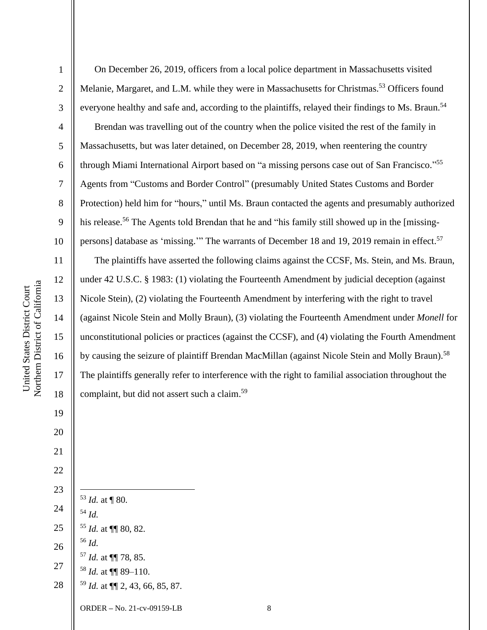Northern District of California Northern District of California United States District Court United States District Court

 On December 26, 2019, officers from a local police department in Massachusetts visited Melanie, Margaret, and L.M. while they were in Massachusetts for Christmas.<sup>53</sup> Officers found everyone healthy and safe and, according to the plaintiffs, relayed their findings to Ms. Braun.<sup>54</sup> Brendan was travelling out of the country when the police visited the rest of the family in Massachusetts, but was later detained, on December 28, 2019, when reentering the country through Miami International Airport based on "a missing persons case out of San Francisco."<sup>55</sup> Agents from "Customs and Border Control" (presumably United States Customs and Border Protection) held him for "hours," until Ms. Braun contacted the agents and presumably authorized his release.<sup>56</sup> The Agents told Brendan that he and "his family still showed up in the [missingpersons] database as 'missing.'" The warrants of December 18 and 19, 2019 remain in effect.<sup>57</sup> The plaintiffs have asserted the following claims against the CCSF, Ms. Stein, and Ms. Braun, under 42 U.S.C. § 1983: (1) violating the Fourteenth Amendment by judicial deception (against Nicole Stein), (2) violating the Fourteenth Amendment by interfering with the right to travel

(against Nicole Stein and Molly Braun), (3) violating the Fourteenth Amendment under *Monell* for

unconstitutional policies or practices (against the CCSF), and (4) violating the Fourth Amendment

by causing the seizure of plaintiff Brendan MacMillan (against Nicole Stein and Molly Braun).<sup>58</sup>

The plaintiffs generally refer to interference with the right to familial association throughout the

ORDER **–** No. 21-cv-09159-LB 8 *Id.* at ¶ 80. *Id. Id.* at ¶¶ 80, 82. *Id. Id.* at ¶¶ 78, 85. *Id.* at ¶¶ 89–110. *Id.* at ¶¶ 2, 43, 66, 85, 87.

complaint, but did not assert such a claim. 59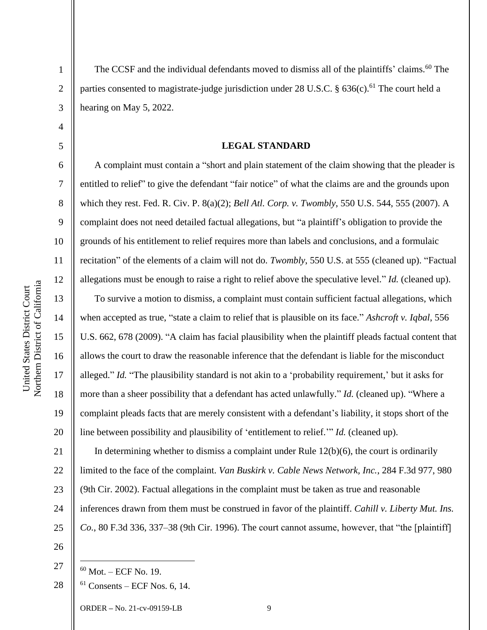2

3

4

5

6

7

8

9

10

11

12

13

14

15

16

17

18

19

20

The CCSF and the individual defendants moved to dismiss all of the plaintiffs' claims.<sup>60</sup> The parties consented to magistrate-judge jurisdiction under 28 U.S.C.  $\S$  636(c).<sup>61</sup> The court held a hearing on May 5, 2022.

### **LEGAL STANDARD**

A complaint must contain a "short and plain statement of the claim showing that the pleader is entitled to relief" to give the defendant "fair notice" of what the claims are and the grounds upon which they rest. Fed. R. Civ. P. 8(a)(2); *Bell Atl. Corp. v. Twombly*, 550 U.S. 544, 555 (2007). A complaint does not need detailed factual allegations, but "a plaintiff's obligation to provide the grounds of his entitlement to relief requires more than labels and conclusions, and a formulaic recitation" of the elements of a claim will not do. *Twombly*, 550 U.S. at 555 (cleaned up). "Factual allegations must be enough to raise a right to relief above the speculative level." *Id.* (cleaned up).

To survive a motion to dismiss, a complaint must contain sufficient factual allegations, which when accepted as true, "state a claim to relief that is plausible on its face." *Ashcroft v. Iqbal*, 556 U.S. 662, 678 (2009). "A claim has facial plausibility when the plaintiff pleads factual content that allows the court to draw the reasonable inference that the defendant is liable for the misconduct alleged." *Id.* "The plausibility standard is not akin to a 'probability requirement,' but it asks for more than a sheer possibility that a defendant has acted unlawfully." *Id.* (cleaned up). "Where a complaint pleads facts that are merely consistent with a defendant's liability, it stops short of the line between possibility and plausibility of 'entitlement to relief.'" *Id.* (cleaned up).

21 22 23 24 25 In determining whether to dismiss a complaint under Rule  $12(b)(6)$ , the court is ordinarily limited to the face of the complaint. *Van Buskirk v. Cable News Network, Inc.*, 284 F.3d 977, 980 (9th Cir. 2002). Factual allegations in the complaint must be taken as true and reasonable inferences drawn from them must be construed in favor of the plaintiff. *Cahill v. Liberty Mut. Ins. Co.*, 80 F.3d 336, 337–38 (9th Cir. 1996). The court cannot assume, however, that "the [plaintiff]

26

28

<sup>27</sup>

 $60$  Mot. – ECF No. 19.  $61$  Consents – ECF Nos. 6, 14.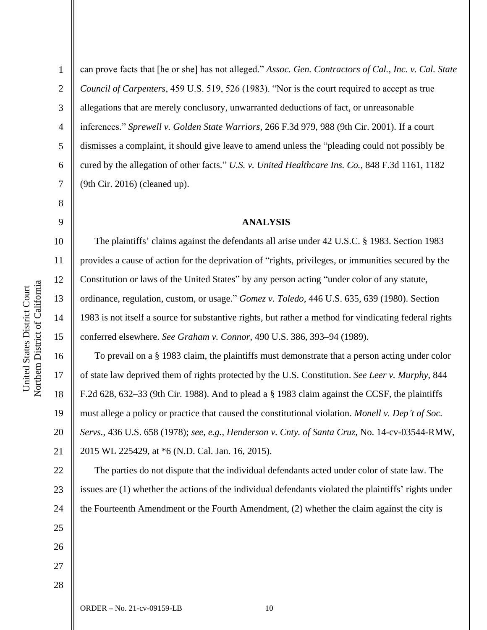2

3

4

5

6

7

8

9

10

11

12

13

14

15

16

17

18

19

20

21

can prove facts that [he or she] has not alleged." *Assoc. Gen. Contractors of Cal., Inc. v. Cal. State Council of Carpenters*, 459 U.S. 519, 526 (1983). "Nor is the court required to accept as true allegations that are merely conclusory, unwarranted deductions of fact, or unreasonable inferences." *Sprewell v. Golden State Warriors*, 266 F.3d 979, 988 (9th Cir. 2001). If a court dismisses a complaint, it should give leave to amend unless the "pleading could not possibly be cured by the allegation of other facts." *U.S. v. United Healthcare Ins. Co.*, 848 F.3d 1161, 1182 (9th Cir. 2016) (cleaned up).

### **ANALYSIS**

The plaintiffs' claims against the defendants all arise under 42 U.S.C. § 1983. Section 1983 provides a cause of action for the deprivation of "rights, privileges, or immunities secured by the Constitution or laws of the United States" by any person acting "under color of any statute, ordinance, regulation, custom, or usage." *Gomez v. Toledo*, 446 U.S. 635, 639 (1980). Section 1983 is not itself a source for substantive rights, but rather a method for vindicating federal rights conferred elsewhere. *See Graham v. Connor*, 490 U.S. 386, 393–94 (1989).

To prevail on a § 1983 claim, the plaintiffs must demonstrate that a person acting under color of state law deprived them of rights protected by the U.S. Constitution. *See Leer v. Murphy*, 844 F.2d 628, 632–33 (9th Cir. 1988). And to plead a § 1983 claim against the CCSF, the plaintiffs must allege a policy or practice that caused the constitutional violation. *Monell v. Dep't of Soc. Servs.*, 436 U.S. 658 (1978); *see, e.g.*, *Henderson v. Cnty. of Santa Cruz*, No. 14-cv-03544-RMW, 2015 WL 225429, at \*6 (N.D. Cal. Jan. 16, 2015).

22 23 24 The parties do not dispute that the individual defendants acted under color of state law. The issues are (1) whether the actions of the individual defendants violated the plaintiffs' rights under the Fourteenth Amendment or the Fourth Amendment, (2) whether the claim against the city is

28

25

26

27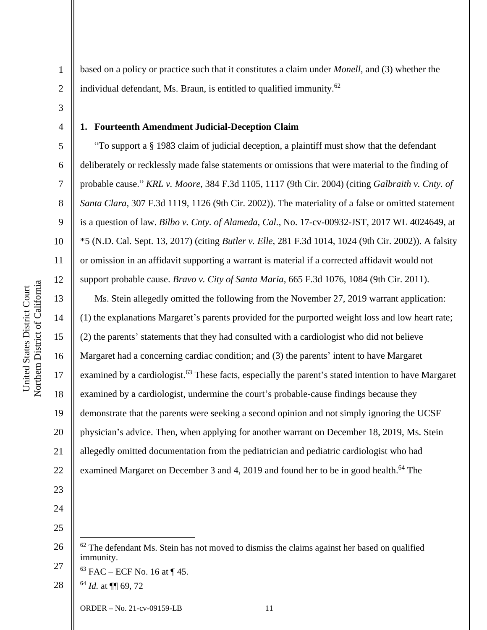5

6

7

8

9

10

11

12

13

14

15

16

17

18

19

20

21

22

23

1

**1. Fourteenth Amendment Judicial-Deception Claim** 

individual defendant, Ms. Braun, is entitled to qualified immunity.<sup>62</sup>

"To support a § 1983 claim of judicial deception, a plaintiff must show that the defendant deliberately or recklessly made false statements or omissions that were material to the finding of probable cause." *KRL v. Moore*, 384 F.3d 1105, 1117 (9th Cir. 2004) (citing *Galbraith v. Cnty. of Santa Clara*, 307 F.3d 1119, 1126 (9th Cir. 2002)). The materiality of a false or omitted statement is a question of law. *Bilbo v. Cnty. of Alameda, Cal.*, No. 17-cv-00932-JST, 2017 WL 4024649, at \*5 (N.D. Cal. Sept. 13, 2017) (citing *Butler v. Elle*, 281 F.3d 1014, 1024 (9th Cir. 2002)). A falsity or omission in an affidavit supporting a warrant is material if a corrected affidavit would not support probable cause. *Bravo v. City of Santa Maria*, 665 F.3d 1076, 1084 (9th Cir. 2011).

based on a policy or practice such that it constitutes a claim under *Monell*, and (3) whether the

Ms. Stein allegedly omitted the following from the November 27, 2019 warrant application: (1) the explanations Margaret's parents provided for the purported weight loss and low heart rate; (2) the parents' statements that they had consulted with a cardiologist who did not believe Margaret had a concerning cardiac condition; and (3) the parents' intent to have Margaret examined by a cardiologist.<sup>63</sup> These facts, especially the parent's stated intention to have Margaret examined by a cardiologist, undermine the court's probable-cause findings because they demonstrate that the parents were seeking a second opinion and not simply ignoring the UCSF physician's advice. Then, when applying for another warrant on December 18, 2019, Ms. Stein allegedly omitted documentation from the pediatrician and pediatric cardiologist who had examined Margaret on December 3 and 4, 2019 and found her to be in good health.<sup>64</sup> The

24 25

26 27  $62$  The defendant Ms. Stein has not moved to dismiss the claims against her based on qualified immunity.

 $63$  FAC – ECF No. 16 at ¶ 45.

<sup>28</sup> <sup>64</sup> *Id.* at ¶¶ 69, 72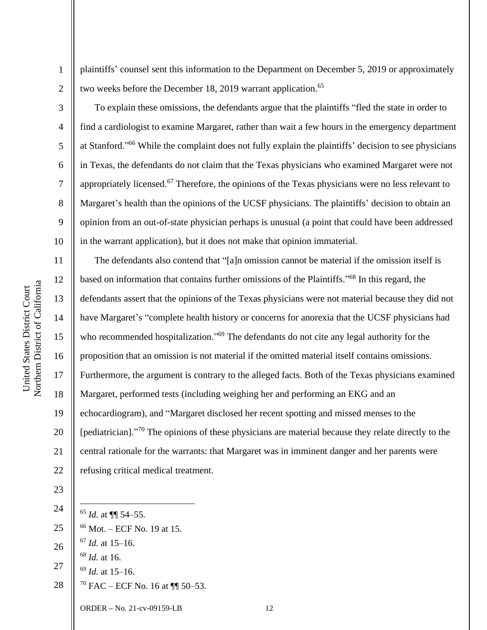Northern District of California Northern District of California United States District Court United States District Court

1

2

3

4

5

6

7

8

9

10

11

12

13

14

15

16

17

18

19

20

21

22

plaintiffs' counsel sent this information to the Department on December 5, 2019 or approximately two weeks before the December 18, 2019 warrant application.<sup>65</sup>

To explain these omissions, the defendants argue that the plaintiffs "fled the state in order to find a cardiologist to examine Margaret, rather than wait a few hours in the emergency department at Stanford." <sup>66</sup> While the complaint does not fully explain the plaintiffs' decision to see physicians in Texas, the defendants do not claim that the Texas physicians who examined Margaret were not appropriately licensed.<sup>67</sup> Therefore, the opinions of the Texas physicians were no less relevant to Margaret's health than the opinions of the UCSF physicians. The plaintiffs' decision to obtain an opinion from an out-of-state physician perhaps is unusual (a point that could have been addressed in the warrant application), but it does not make that opinion immaterial.

The defendants also contend that "[a]n omission cannot be material if the omission itself is based on information that contains further omissions of the Plaintiffs."<sup>68</sup> In this regard, the defendants assert that the opinions of the Texas physicians were not material because they did not have Margaret's "complete health history or concerns for anorexia that the UCSF physicians had who recommended hospitalization."<sup>69</sup> The defendants do not cite any legal authority for the proposition that an omission is not material if the omitted material itself contains omissions. Furthermore, the argument is contrary to the alleged facts. Both of the Texas physicians examined Margaret, performed tests (including weighing her and performing an EKG and an echocardiogram), and "Margaret disclosed her recent spotting and missed menses to the [pediatrician]."<sup>70</sup> The opinions of these physicians are material because they relate directly to the central rationale for the warrants: that Margaret was in imminent danger and her parents were refusing critical medical treatment.

23

24

25

- <sup>65</sup> *Id.* at ¶¶ 54–55.
- <sup>66</sup> Mot. ECF No. 19 at 15.
- 26 <sup>67</sup> *Id.* at 15–16.
- 27 <sup>68</sup> *Id.* at 16.
	- <sup>69</sup> *Id.* at 15–16.
- 28  $70$  FAC – ECF No. 16 at  $\P\P$  50–53.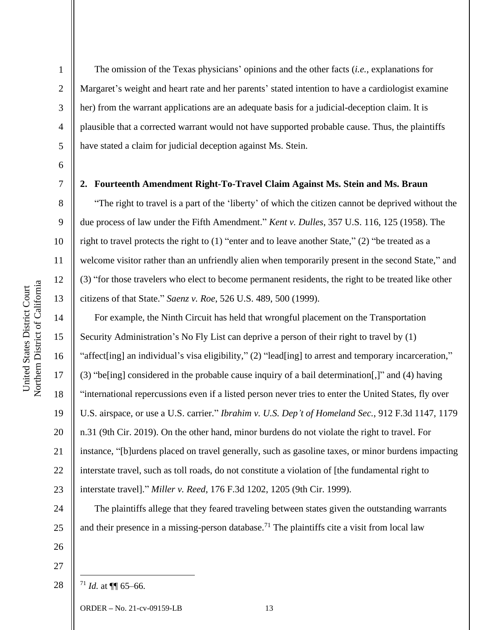2

3

4

5

6

7

8

9

10

11

12

13

14

15

16

17

18

19

20

21

22

23

24

25

The omission of the Texas physicians' opinions and the other facts (*i.e.*, explanations for Margaret's weight and heart rate and her parents' stated intention to have a cardiologist examine her) from the warrant applications are an adequate basis for a judicial-deception claim. It is plausible that a corrected warrant would not have supported probable cause. Thus, the plaintiffs have stated a claim for judicial deception against Ms. Stein.

**2. Fourteenth Amendment Right-To-Travel Claim Against Ms. Stein and Ms. Braun**

"The right to travel is a part of the 'liberty' of which the citizen cannot be deprived without the due process of law under the Fifth Amendment." *Kent v. Dulles*, 357 U.S. 116, 125 (1958). The right to travel protects the right to (1) "enter and to leave another State," (2) "be treated as a welcome visitor rather than an unfriendly alien when temporarily present in the second State," and (3) "for those travelers who elect to become permanent residents, the right to be treated like other citizens of that State." *Saenz v. Roe*, 526 U.S. 489, 500 (1999).

For example, the Ninth Circuit has held that wrongful placement on the Transportation Security Administration's No Fly List can deprive a person of their right to travel by (1) "affect[ing] an individual's visa eligibility," (2) "lead[ing] to arrest and temporary incarceration," (3) "be[ing] considered in the probable cause inquiry of a bail determination[,]" and (4) having "international repercussions even if a listed person never tries to enter the United States, fly over U.S. airspace, or use a U.S. carrier." *Ibrahim v. U.S. Dep't of Homeland Sec.*, 912 F.3d 1147, 1179 n.31 (9th Cir. 2019). On the other hand, minor burdens do not violate the right to travel. For instance, "[b]urdens placed on travel generally, such as gasoline taxes, or minor burdens impacting interstate travel, such as toll roads, do not constitute a violation of [the fundamental right to interstate travel]." *Miller v. Reed*, 176 F.3d 1202, 1205 (9th Cir. 1999).

The plaintiffs allege that they feared traveling between states given the outstanding warrants and their presence in a missing-person database.<sup>71</sup> The plaintiffs cite a visit from local law

26 27

28

 $^{71}$  *Id.* at  $\P\P$  65–66.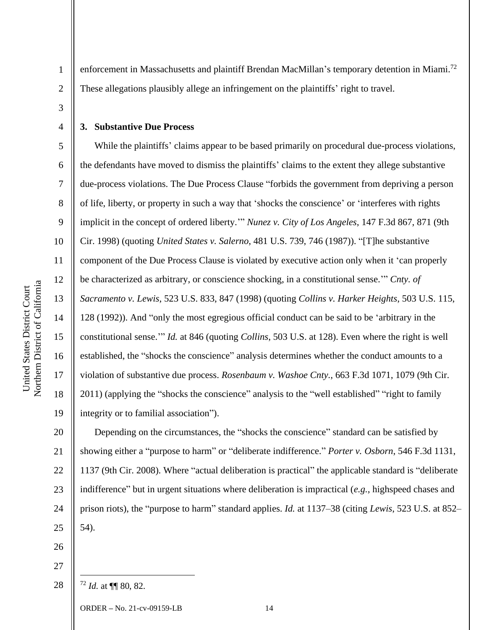enforcement in Massachusetts and plaintiff Brendan MacMillan's temporary detention in Miami.<sup>72</sup> These allegations plausibly allege an infringement on the plaintiffs' right to travel.

3

4

5

6

7

8

9

10

11

12

13

14

15

16

17

18

19

1

2

# **3. Substantive Due Process**

While the plaintiffs' claims appear to be based primarily on procedural due-process violations, the defendants have moved to dismiss the plaintiffs' claims to the extent they allege substantive due-process violations. The Due Process Clause "forbids the government from depriving a person of life, liberty, or property in such a way that 'shocks the conscience' or 'interferes with rights implicit in the concept of ordered liberty.'" *Nunez v. City of Los Angeles*, 147 F.3d 867, 871 (9th Cir. 1998) (quoting *United States v. Salerno*, 481 U.S. 739, 746 (1987)). "[T]he substantive component of the Due Process Clause is violated by executive action only when it 'can properly be characterized as arbitrary, or conscience shocking, in a constitutional sense.'" *Cnty. of Sacramento v. Lewis*, 523 U.S. 833, 847 (1998) (quoting *Collins v. Harker Heights*, 503 U.S. 115, 128 (1992)). And "only the most egregious official conduct can be said to be 'arbitrary in the constitutional sense.'" *Id.* at 846 (quoting *Collins*, 503 U.S. at 128). Even where the right is well established, the "shocks the conscience" analysis determines whether the conduct amounts to a violation of substantive due process. *Rosenbaum v. Washoe Cnty.*, 663 F.3d 1071, 1079 (9th Cir. 2011) (applying the "shocks the conscience" analysis to the "well established" "right to family integrity or to familial association").

20 21 22 23 24 25 Depending on the circumstances, the "shocks the conscience" standard can be satisfied by showing either a "purpose to harm" or "deliberate indifference." *Porter v. Osborn*, 546 F.3d 1131, 1137 (9th Cir. 2008). Where "actual deliberation is practical" the applicable standard is "deliberate indifference" but in urgent situations where deliberation is impractical (*e.g.*, highspeed chases and prison riots), the "purpose to harm" standard applies. *Id.* at 1137–38 (citing *Lewis*, 523 U.S. at 852– 54).

26

27 28

<sup>72</sup> *Id.* at ¶¶ 80, 82.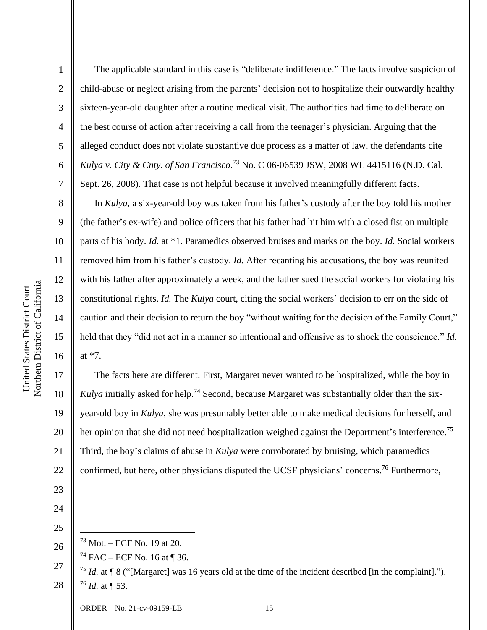2

3

4

5

6

7

8

9

10

11

12

13

14

15

16

17

18

19

20

21

22

23

The applicable standard in this case is "deliberate indifference." The facts involve suspicion of child-abuse or neglect arising from the parents' decision not to hospitalize their outwardly healthy sixteen-year-old daughter after a routine medical visit. The authorities had time to deliberate on the best course of action after receiving a call from the teenager's physician. Arguing that the alleged conduct does not violate substantive due process as a matter of law, the defendants cite *Kulya v. City & Cnty. of San Francisco*. <sup>73</sup> No. C 06-06539 JSW, 2008 WL 4415116 (N.D. Cal. Sept. 26, 2008). That case is not helpful because it involved meaningfully different facts.

In *Kulya*, a six-year-old boy was taken from his father's custody after the boy told his mother (the father's ex-wife) and police officers that his father had hit him with a closed fist on multiple parts of his body. *Id.* at \*1. Paramedics observed bruises and marks on the boy. *Id.* Social workers removed him from his father's custody. *Id.* After recanting his accusations, the boy was reunited with his father after approximately a week, and the father sued the social workers for violating his constitutional rights. *Id.* The *Kulya* court, citing the social workers' decision to err on the side of caution and their decision to return the boy "without waiting for the decision of the Family Court," held that they "did not act in a manner so intentional and offensive as to shock the conscience." *Id.*  at \*7.

The facts here are different. First, Margaret never wanted to be hospitalized, while the boy in *Kulya* initially asked for help.<sup>74</sup> Second, because Margaret was substantially older than the sixyear-old boy in *Kulya*, she was presumably better able to make medical decisions for herself, and her opinion that she did not need hospitalization weighed against the Department's interference.<sup>75</sup> Third, the boy's claims of abuse in *Kulya* were corroborated by bruising, which paramedics confirmed, but here, other physicians disputed the UCSF physicians' concerns.<sup>76</sup> Furthermore,

24 25

26

<sup>73</sup> Mot. – ECF No. 19 at 20.

 $74$  FAC – ECF No. 16 at ¶ 36.

<sup>27</sup> 28 <sup>75</sup> *Id.* at ¶ 8 ("[Margaret] was 16 years old at the time of the incident described [in the complaint]."). <sup>76</sup> *Id.* at ¶ 53.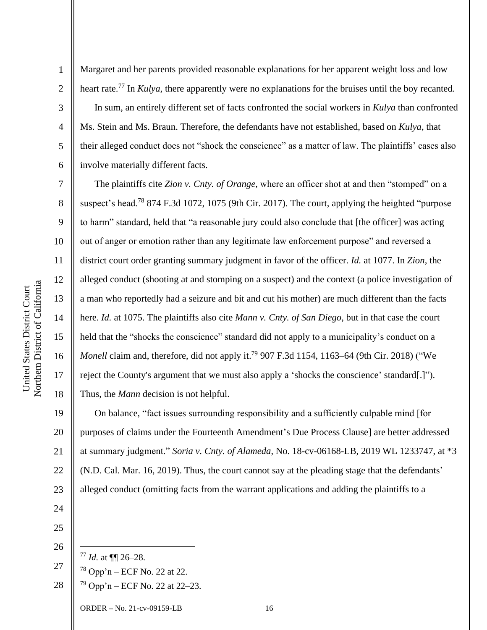2

3

4

5

6

7

8

9

10

11

12

13

14

15

16

17

18

19

21

Margaret and her parents provided reasonable explanations for her apparent weight loss and low heart rate. <sup>77</sup> In *Kulya*, there apparently were no explanations for the bruises until the boy recanted. In sum, an entirely different set of facts confronted the social workers in *Kulya* than confronted Ms. Stein and Ms. Braun. Therefore, the defendants have not established, based on *Kulya*, that their alleged conduct does not "shock the conscience" as a matter of law. The plaintiffs' cases also involve materially different facts.

The plaintiffs cite *Zion v. Cnty. of Orange*, where an officer shot at and then "stomped" on a suspect's head.<sup>78</sup> 874 F.3d 1072, 1075 (9th Cir. 2017). The court, applying the heighted "purpose to harm" standard, held that "a reasonable jury could also conclude that [the officer] was acting out of anger or emotion rather than any legitimate law enforcement purpose" and reversed a district court order granting summary judgment in favor of the officer. *Id.* at 1077. In *Zion*, the alleged conduct (shooting at and stomping on a suspect) and the context (a police investigation of a man who reportedly had a seizure and bit and cut his mother) are much different than the facts here. *Id.* at 1075. The plaintiffs also cite *Mann v. Cnty. of San Diego*, but in that case the court held that the "shocks the conscience" standard did not apply to a municipality's conduct on a Monell claim and, therefore, did not apply it.<sup>79</sup> 907 F.3d 1154, 1163–64 (9th Cir. 2018) ("We reject the County's argument that we must also apply a 'shocks the conscience' standard[.]"). Thus, the *Mann* decision is not helpful.

20 22 23 On balance, "fact issues surrounding responsibility and a sufficiently culpable mind [for purposes of claims under the Fourteenth Amendment's Due Process Clause] are better addressed at summary judgment." *Soria v. Cnty. of Alameda*, No. 18-cv-06168-LB, 2019 WL 1233747, at \*3 (N.D. Cal. Mar. 16, 2019). Thus, the court cannot say at the pleading stage that the defendants' alleged conduct (omitting facts from the warrant applications and adding the plaintiffs to a

24 25

26

- <sup>77</sup> *Id.* at ¶¶ 26–28.
- 27  $78$  Opp'n – ECF No. 22 at 22.
- 28  $79$  Opp'n – ECF No. 22 at 22–23.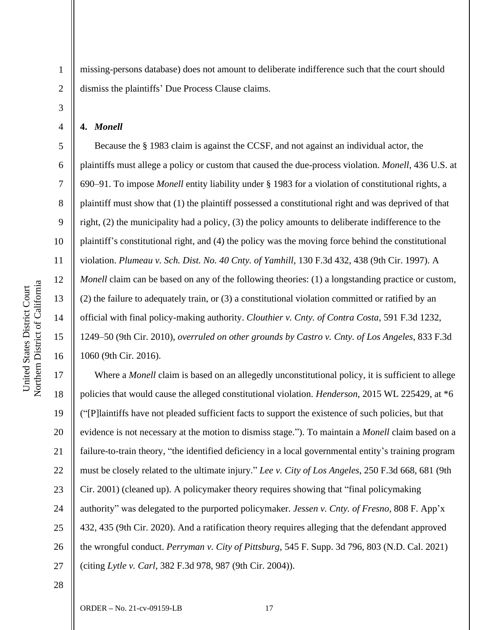3

4

5

6

7

8

9

10

11

12

13

14

15

16

1

missing-persons database) does not amount to deliberate indifference such that the court should dismiss the plaintiffs' Due Process Clause claims.

**4.** *Monell*

Because the § 1983 claim is against the CCSF, and not against an individual actor, the plaintiffs must allege a policy or custom that caused the due-process violation. *Monell*, 436 U.S. at 690–91. To impose *Monell* entity liability under § 1983 for a violation of constitutional rights, a plaintiff must show that (1) the plaintiff possessed a constitutional right and was deprived of that right, (2) the municipality had a policy, (3) the policy amounts to deliberate indifference to the plaintiff's constitutional right, and (4) the policy was the moving force behind the constitutional violation. *Plumeau v. Sch. Dist. No. 40 Cnty. of Yamhill*, 130 F.3d 432, 438 (9th Cir. 1997). A *Monell* claim can be based on any of the following theories: (1) a longstanding practice or custom, (2) the failure to adequately train, or (3) a constitutional violation committed or ratified by an official with final policy-making authority. *Clouthier v. Cnty. of Contra Costa*, 591 F.3d 1232, 1249–50 (9th Cir. 2010), *overruled on other grounds by Castro v. Cnty. of Los Angeles*, 833 F.3d 1060 (9th Cir. 2016).

17 18 19 20 21 22 23 24 25 26 27 Where a *Monell* claim is based on an allegedly unconstitutional policy, it is sufficient to allege policies that would cause the alleged constitutional violation. *Henderson*, 2015 WL 225429, at \*6 ("[P]laintiffs have not pleaded sufficient facts to support the existence of such policies, but that evidence is not necessary at the motion to dismiss stage."). To maintain a *Monell* claim based on a failure-to-train theory, "the identified deficiency in a local governmental entity's training program must be closely related to the ultimate injury." *Lee v. City of Los Angeles*, 250 F.3d 668, 681 (9th Cir. 2001) (cleaned up). A policymaker theory requires showing that "final policymaking authority" was delegated to the purported policymaker. *Jessen v. Cnty. of Fresno*, 808 F. App'x 432, 435 (9th Cir. 2020). And a ratification theory requires alleging that the defendant approved the wrongful conduct. *Perryman v. City of Pittsburg*, 545 F. Supp. 3d 796, 803 (N.D. Cal. 2021) (citing *Lytle v. Carl*, 382 F.3d 978, 987 (9th Cir. 2004)).

28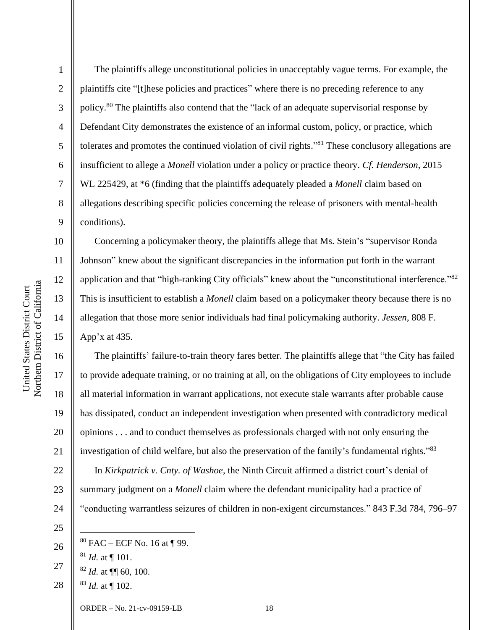Northern District of California Northern District of California United States District Court United States District Court

1

2

3

4

5

6

7

8

9

10

11

12

13

14

15

17

18

19

20

21

22

23

24

The plaintiffs allege unconstitutional policies in unacceptably vague terms. For example, the plaintiffs cite "[t]hese policies and practices" where there is no preceding reference to any policy.<sup>80</sup> The plaintiffs also contend that the "lack of an adequate supervisorial response by Defendant City demonstrates the existence of an informal custom, policy, or practice, which tolerates and promotes the continued violation of civil rights."<sup>81</sup> These conclusory allegations are insufficient to allege a *Monell* violation under a policy or practice theory. *Cf. Henderson*, 2015 WL 225429, at \*6 (finding that the plaintiffs adequately pleaded a *Monell* claim based on allegations describing specific policies concerning the release of prisoners with mental-health conditions).

Concerning a policymaker theory, the plaintiffs allege that Ms. Stein's "supervisor Ronda Johnson" knew about the significant discrepancies in the information put forth in the warrant application and that "high-ranking City officials" knew about the "unconstitutional interference."<sup>82</sup> This is insufficient to establish a *Monell* claim based on a policymaker theory because there is no allegation that those more senior individuals had final policymaking authority. *Jessen*, 808 F. App'x at 435.

16 The plaintiffs' failure-to-train theory fares better. The plaintiffs allege that "the City has failed to provide adequate training, or no training at all, on the obligations of City employees to include all material information in warrant applications, not execute stale warrants after probable cause has dissipated, conduct an independent investigation when presented with contradictory medical opinions . . . and to conduct themselves as professionals charged with not only ensuring the investigation of child welfare, but also the preservation of the family's fundamental rights."<sup>83</sup> In *Kirkpatrick v. Cnty. of Washoe*, the Ninth Circuit affirmed a district court's denial of summary judgment on a *Monell* claim where the defendant municipality had a practice of "conducting warrantless seizures of children in non-exigent circumstances." 843 F.3d 784, 796–97

- <sup>81</sup> *Id.* at ¶ 101.
- 27 <sup>82</sup> *Id.* at ¶¶ 60, 100.
- 28 <sup>83</sup> *Id.* at ¶ 102.

<sup>25</sup> 26

 $80$  FAC – ECF No. 16 at ¶ 99.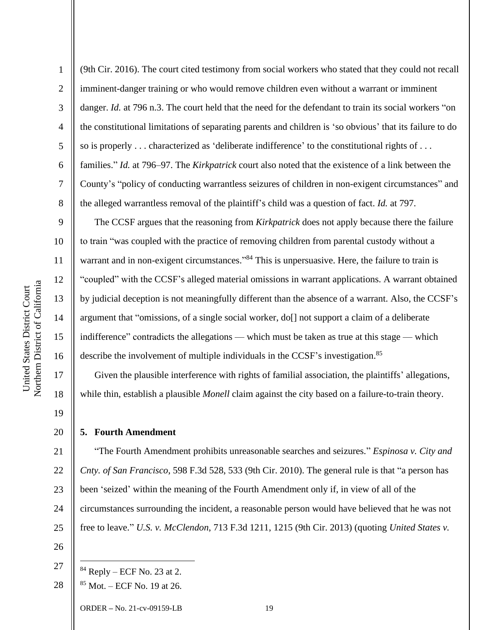9

10

11

12

13

14

15

16

17

18

19

20

2 3 4 5 6 7 8 (9th Cir. 2016). The court cited testimony from social workers who stated that they could not recall imminent-danger training or who would remove children even without a warrant or imminent danger. *Id.* at 796 n.3. The court held that the need for the defendant to train its social workers "on the constitutional limitations of separating parents and children is 'so obvious' that its failure to do so is properly . . . characterized as 'deliberate indifference' to the constitutional rights of . . . families." *Id.* at 796–97. The *Kirkpatrick* court also noted that the existence of a link between the County's "policy of conducting warrantless seizures of children in non-exigent circumstances" and the alleged warrantless removal of the plaintiff's child was a question of fact. *Id.* at 797.

The CCSF argues that the reasoning from *Kirkpatrick* does not apply because there the failure to train "was coupled with the practice of removing children from parental custody without a warrant and in non-exigent circumstances."<sup>84</sup> This is unpersuasive. Here, the failure to train is "coupled" with the CCSF's alleged material omissions in warrant applications. A warrant obtained by judicial deception is not meaningfully different than the absence of a warrant. Also, the CCSF's argument that "omissions, of a single social worker, do[] not support a claim of a deliberate indifference" contradicts the allegations — which must be taken as true at this stage — which describe the involvement of multiple individuals in the CCSF's investigation.<sup>85</sup>

Given the plausible interference with rights of familial association, the plaintiffs' allegations, while thin, establish a plausible *Monell* claim against the city based on a failure-to-train theory.

## **5. Fourth Amendment**

21 22 23 24 25 "The Fourth Amendment prohibits unreasonable searches and seizures." *Espinosa v. City and Cnty. of San Francisco*, 598 F.3d 528, 533 (9th Cir. 2010). The general rule is that "a person has been 'seized' within the meaning of the Fourth Amendment only if, in view of all of the circumstances surrounding the incident, a reasonable person would have believed that he was not free to leave." *U.S. v. McClendon*, 713 F.3d 1211, 1215 (9th Cir. 2013) (quoting *United States v.* 

26

27

 $84$  Reply – ECF No. 23 at 2.

<sup>28</sup>  $85$  Mot. – ECF No. 19 at 26.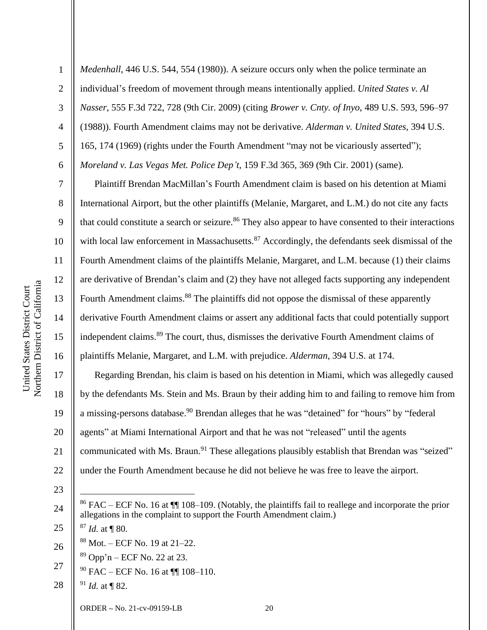2

3

4

5

6

7

8

9

10

11

12

13

14

15

16

17

18

19

20

21

22

*Medenhall*, 446 U.S. 544, 554 (1980)). A seizure occurs only when the police terminate an individual's freedom of movement through means intentionally applied. *United States v. Al Nasser*, 555 F.3d 722, 728 (9th Cir. 2009) (citing *Brower v. Cnty. of Inyo*, 489 U.S. 593, 596–97 (1988)). Fourth Amendment claims may not be derivative. *Alderman v. United States*, 394 U.S. 165, 174 (1969) (rights under the Fourth Amendment "may not be vicariously asserted"); *Moreland v. Las Vegas Met. Police Dep't*, 159 F.3d 365, 369 (9th Cir. 2001) (same).

Plaintiff Brendan MacMillan's Fourth Amendment claim is based on his detention at Miami International Airport, but the other plaintiffs (Melanie, Margaret, and L.M.) do not cite any facts that could constitute a search or seizure.<sup>86</sup> They also appear to have consented to their interactions with local law enforcement in Massachusetts.<sup>87</sup> Accordingly, the defendants seek dismissal of the Fourth Amendment claims of the plaintiffs Melanie, Margaret, and L.M. because (1) their claims are derivative of Brendan's claim and (2) they have not alleged facts supporting any independent Fourth Amendment claims.<sup>88</sup> The plaintiffs did not oppose the dismissal of these apparently derivative Fourth Amendment claims or assert any additional facts that could potentially support independent claims.<sup>89</sup> The court, thus, dismisses the derivative Fourth Amendment claims of plaintiffs Melanie, Margaret, and L.M. with prejudice. *Alderman*, 394 U.S. at 174.

Regarding Brendan, his claim is based on his detention in Miami, which was allegedly caused by the defendants Ms. Stein and Ms. Braun by their adding him to and failing to remove him from a missing-persons database.<sup>90</sup> Brendan alleges that he was "detained" for "hours" by "federal agents" at Miami International Airport and that he was not "released" until the agents communicated with Ms. Braun.<sup>91</sup> These allegations plausibly establish that Brendan was "seized" under the Fourth Amendment because he did not believe he was free to leave the airport.

- 23
- 24

25

- <sup>87</sup> *Id.* at ¶ 80.
- 26 <sup>88</sup> Mot. – ECF No. 19 at 21–22.
	- $89$  Opp'n ECF No. 22 at 23.
- 27  $90$  FAC – ECF No. 16 at  $\P\P$  108–110.
- 28 <sup>91</sup> *Id.* at ¶ 82.

<sup>86</sup> FAC – ECF No. 16 at ¶¶ 108–109. (Notably, the plaintiffs fail to reallege and incorporate the prior allegations in the complaint to support the Fourth Amendment claim.)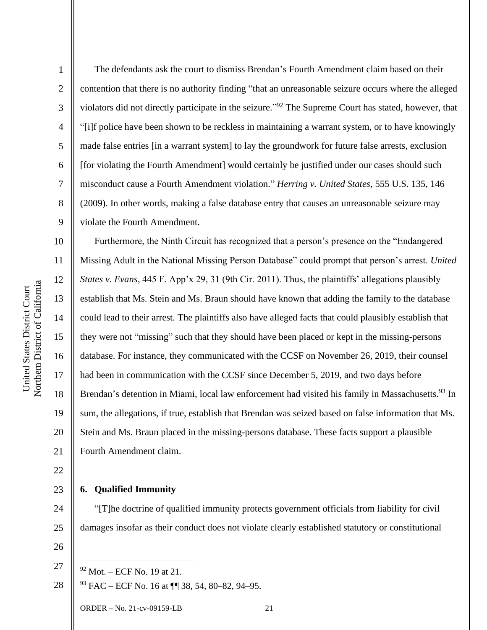2

3

4

5

6

7

8

9

The defendants ask the court to dismiss Brendan's Fourth Amendment claim based on their contention that there is no authority finding "that an unreasonable seizure occurs where the alleged violators did not directly participate in the seizure."<sup>92</sup> The Supreme Court has stated, however, that "[i]f police have been shown to be reckless in maintaining a warrant system, or to have knowingly made false entries [in a warrant system] to lay the groundwork for future false arrests, exclusion [for violating the Fourth Amendment] would certainly be justified under our cases should such misconduct cause a Fourth Amendment violation." *Herring v. United States*, 555 U.S. 135, 146 (2009). In other words, making a false database entry that causes an unreasonable seizure may violate the Fourth Amendment.

10 11 12 13 14 15 16 17 18 19 20 21 Furthermore, the Ninth Circuit has recognized that a person's presence on the "Endangered Missing Adult in the National Missing Person Database" could prompt that person's arrest. *United States v. Evans*, 445 F. App'x 29, 31 (9th Cir. 2011). Thus, the plaintiffs' allegations plausibly establish that Ms. Stein and Ms. Braun should have known that adding the family to the database could lead to their arrest. The plaintiffs also have alleged facts that could plausibly establish that they were not "missing" such that they should have been placed or kept in the missing-persons database. For instance, they communicated with the CCSF on November 26, 2019, their counsel had been in communication with the CCSF since December 5, 2019, and two days before Brendan's detention in Miami, local law enforcement had visited his family in Massachusetts.<sup>93</sup> In sum, the allegations, if true, establish that Brendan was seized based on false information that Ms. Stein and Ms. Braun placed in the missing-persons database. These facts support a plausible Fourth Amendment claim.

22

23

24

25

## **6. Qualified Immunity**

"[T]he doctrine of qualified immunity protects government officials from liability for civil damages insofar as their conduct does not violate clearly established statutory or constitutional

26

27

28 <sup>93</sup> FAC – ECF No. 16 at ¶¶ 38, 54, 80–82, 94–95.

 $92$  Mot. – ECF No. 19 at 21.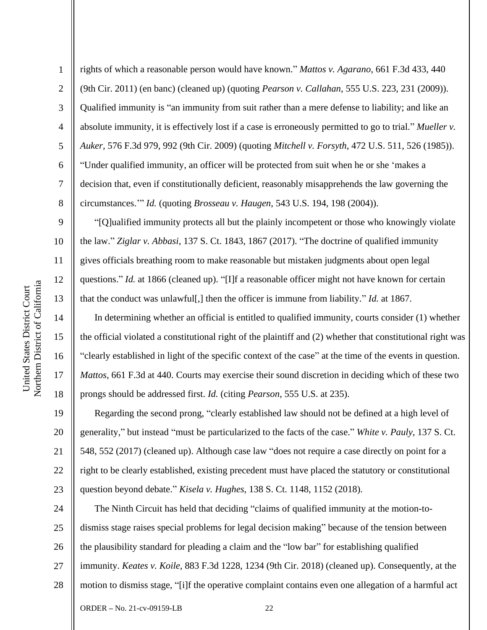2

3

4

5

7

8

9

10

11

12

13

14

15

16

17

18

6 rights of which a reasonable person would have known." *Mattos v. Agarano*, 661 F.3d 433, 440 (9th Cir. 2011) (en banc) (cleaned up) (quoting *Pearson v. Callahan*, 555 U.S. 223, 231 (2009)). Qualified immunity is "an immunity from suit rather than a mere defense to liability; and like an absolute immunity, it is effectively lost if a case is erroneously permitted to go to trial." *Mueller v. Auker*, 576 F.3d 979, 992 (9th Cir. 2009) (quoting *Mitchell v. Forsyth*, 472 U.S. 511, 526 (1985)). "Under qualified immunity, an officer will be protected from suit when he or she 'makes a decision that, even if constitutionally deficient, reasonably misapprehends the law governing the circumstances.'" *Id.* (quoting *Brosseau v. Haugen*, 543 U.S. 194, 198 (2004)).

"[Q]ualified immunity protects all but the plainly incompetent or those who knowingly violate the law." *Ziglar v. Abbasi*, 137 S. Ct. 1843, 1867 (2017). "The doctrine of qualified immunity gives officials breathing room to make reasonable but mistaken judgments about open legal questions." *Id.* at 1866 (cleaned up). "[I]f a reasonable officer might not have known for certain that the conduct was unlawful[,] then the officer is immune from liability." *Id.* at 1867.

In determining whether an official is entitled to qualified immunity, courts consider (1) whether the official violated a constitutional right of the plaintiff and (2) whether that constitutional right was "clearly established in light of the specific context of the case" at the time of the events in question. *Mattos*, 661 F.3d at 440. Courts may exercise their sound discretion in deciding which of these two prongs should be addressed first. *Id.* (citing *Pearson*, 555 U.S. at 235).

19 20 21 22 23 Regarding the second prong, "clearly established law should not be defined at a high level of generality," but instead "must be particularized to the facts of the case." *White v. Pauly*, 137 S. Ct. 548, 552 (2017) (cleaned up). Although case law "does not require a case directly on point for a right to be clearly established, existing precedent must have placed the statutory or constitutional question beyond debate." *Kisela v. Hughes*, 138 S. Ct. 1148, 1152 (2018).

24 25 26 27 28 The Ninth Circuit has held that deciding "claims of qualified immunity at the motion-todismiss stage raises special problems for legal decision making" because of the tension between the plausibility standard for pleading a claim and the "low bar" for establishing qualified immunity. *Keates v. Koile*, 883 F.3d 1228, 1234 (9th Cir. 2018) (cleaned up). Consequently, at the motion to dismiss stage, "[i]f the operative complaint contains even one allegation of a harmful act